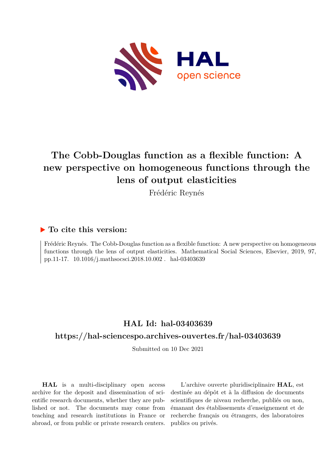

# **The Cobb-Douglas function as a flexible function: A new perspective on homogeneous functions through the lens of output elasticities**

Frédéric Reynés

### **To cite this version:**

Frédéric Reynés. The Cobb-Douglas function as a flexible function: A new perspective on homogeneous functions through the lens of output elasticities. Mathematical Social Sciences, Elsevier, 2019, 97, pp.11-17. 10.1016/j.mathsocsci.2018.10.002. hal-03403639

# **HAL Id: hal-03403639**

### **<https://hal-sciencespo.archives-ouvertes.fr/hal-03403639>**

Submitted on 10 Dec 2021

**HAL** is a multi-disciplinary open access archive for the deposit and dissemination of scientific research documents, whether they are published or not. The documents may come from teaching and research institutions in France or abroad, or from public or private research centers.

L'archive ouverte pluridisciplinaire **HAL**, est destinée au dépôt et à la diffusion de documents scientifiques de niveau recherche, publiés ou non, émanant des établissements d'enseignement et de recherche français ou étrangers, des laboratoires publics ou privés.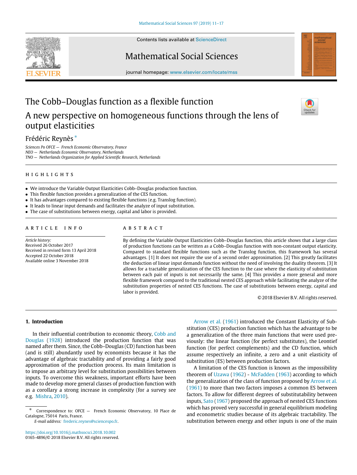

Contents lists available at [ScienceDirect](http://www.elsevier.com/locate/mss)

### Mathematical Social Sciences



journal homepage: [www.elsevier.com/locate/mss](http://www.elsevier.com/locate/mss)

## The Cobb–Douglas function as a flexible function A new perspective on homogeneous functions through the lens of output elasticities



#### Frédéric Reynès ∗

*Sciences Po OFCE — French Economic Observatory, France NEO — Netherlands Economic Observatory, Netherlands TNO — Netherlands Organization for Applied Scientific Research, Netherlands*

#### h i g h l i g h t s

- We introduce the Variable Output Elasticities Cobb–Douglas production function.
- This flexible function provides a generalization of the CES function.
- It has advantages compared to existing flexible functions (e.g. Translog function).
- It leads to linear input demands and facilitates the analyze of input substitution.
- The case of substitutions between energy, capital and labor is provided.

#### a r t i c l e i n f o

*Article history:* Received 26 October 2017 Received in revised form 13 April 2018 Accepted 22 October 2018 Available online 3 November 2018

#### A B S T R A C T

By defining the Variable Output Elasticities Cobb–Douglas function, this article shows that a large class of production functions can be written as a Cobb–Douglas function with non-constant output elasticity. Compared to standard flexible functions such as the Translog function, this framework has several advantages. [1] It does not require the use of a second order approximation. [2] This greatly facilitates the deduction of linear input demands function without the need of involving the duality theorem. [3] It allows for a tractable generalization of the CES function to the case where the elasticity of substitution between each pair of inputs is not necessarily the same. [4] This provides a more general and more flexible framework compared to the traditional nested CES approach while facilitating the analyze of the substitution properties of nested CES functions. The case of substitutions between energy, capital and labor is provided.

© 2018 Elsevier B.V. All rights reserved.

#### **1. Introduction**

In their influential contribution to economic theory, Cobb and Douglas (1928) introduced the production function that was named after them. Since, the Cobb–Douglas (CD) function has been (and is still) abundantly used by economists because it has the advantage of algebraic tractability and of providing a fairly good approximation of the production process. Its main limitation is to impose an arbitrary level for substitution possibilities between inputs. To overcome this weakness, important efforts have been made to develop more general classes of production function with as a corollary a strong increase in complexity (for a survey see e.g. Mishra, 2010).

*E-mail address:* [frederic.reynes@sciencespo.fr](mailto:frederic.reynes@sciencespo.fr).

<https://doi.org/10.1016/j.mathsocsci.2018.10.002> 0165-4896/© 2018 Elsevier B.V. All rights reserved.

Arrow et al. (1961) introduced the Constant Elasticity of Substitution (CES) production function which has the advantage to be a generalization of the three main functions that were used previously: the linear function (for perfect substitutes), the Leontief function (for perfect complements) and the CD function, which assume respectively an infinite, a zero and a unit elasticity of substitution (ES) between production factors.

A limitation of the CES function is known as the impossibility theorem of Uzawa (1962) - McFadden (1963) according to which the generalization of the class of function proposed by Arrow et al. (1961) to more than two factors imposes a common ES between factors. To allow for different degrees of substitutability between inputs, Sato (1967) proposed the approach of nested CES functions which has proved very successful in general equilibrium modeling and econometric studies because of its algebraic tractability. The substitution between energy and other inputs is one of the main

<sup>∗</sup> Correspondence to: OFCE — French Economic Observatory, 10 Place de Catalogne, 75014 Paris, France.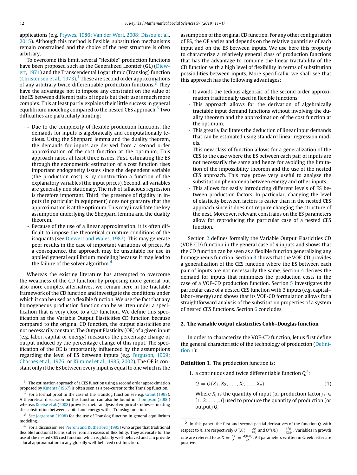applications (e.g. Prywes, 1986; Van der Werf, 2008; Dissou et al., 2015). Although this method is flexible, substitution mechanisms remain constrained and the choice of the nest structure is often arbitrary.

To overcome this limit, several ''flexible'' production functions have been proposed such as the Generalized Leontief (GL) (Diewert, 1971) and the Transcendental Logarithmic (Translog) function (Christensen et al., 1973).<sup>1</sup> These are second order approximations of any arbitrary twice differentiable production functions.<sup>2</sup> They have the advantage not to impose any constraint on the value of the ES between different pairs of inputs but their use is much more complex. This at least partly explains their little success in general equilibrium modeling compared to the nested CES approach.<sup>3</sup> Two difficulties are particularly limiting:

- Due to the complexity of flexible production functions, the demands for inputs is algebraically and computationally tedious. Using the Sheppard lemma and the duality theorem, the demands for inputs are derived from a second order approximation of the cost function at the optimum. This approach raises at least three issues. First, estimating the ES through the econometric estimation of a cost function rises important endogeneity issues since the dependent variable (the production cost) is by construction a function of the explanatory variables (the input prices). Second, all variables are generally non stationary. The risk of fallacious regression is therefore important. Third, the presence of rigidity in inputs (in particular in equipment) does not guaranty that the approximation is at the optimum. This may invalidate the key assumption underlying the Sheppard lemma and the duality theorem.
- Because of the use of a linear approximation, it is often difficult to impose the theoretical curvature conditions of the isoquants (see Diewert and Wales, 1987). This may generate poor results in the case of important variations of prices. As a consequence, the approach may be unsuitable for use in applied general equilibrium modeling because it may lead to the failure of the solver algorithm.<sup>4</sup>

Whereas the existing literature has attempted to overcome the weakness of the CD function by proposing more general but also more complex alternatives, we remain here in the tractable framework of the CD function and investigate the conditions under which it can be used as a flexible function. We use the fact that any homogeneous production function can be written under a specification that is very close to a CD function. We define this specification as the Variable Output Elasticities CD function because compared to the original CD function, the output elasticities are not necessarily constant. The Output Elasticity (OE) of a given input (e.g. labor, capital or energy) measures the percentage change of output induced by the percentage change of this input. The specification of the OE is importantly influenced by the assumptions regarding the level of ES between inputs (e.g. Ferguson, 1969; Charnes et al., 1976; or Kümmel et al., 1985, 2002). The OE is constant only if the ES between every input is equal to one which is the assumption of the original CD function. For any other configuration of ES, the OE varies and depends on the relative quantities of each input and on the ES between inputs. We use here this property to characterize a relatively general class of production functions that has the advantage to combine the linear tractability of the CD function with a high level of flexibility in terms of substitution possibilities between inputs. More specifically, we shall see that this approach has the following advantages:

- It avoids the tedious algebraic of the second order approximation traditionally used in flexible functions.
- This approach allows for the derivation of algebraically tractable input demand functions without involving the duality theorem and the approximation of the cost function at the optimum.
- This greatly facilitates the deduction of linear input demands that can be estimated using standard linear regression models.
- This new class of function allows for a generalization of the CES to the case where the ES between each pair of inputs are not necessarily the same and hence for avoiding the limitation of the impossibility theorem and the use of the nested CES approach. This may prove very useful to analyze the substitution phenomena between energy and other inputs.
- This allows for easily introducing different levels of ES between production factors. In particular, changing the level of elasticity between factors is easier than in the nested CES approach since it does not require changing the structure of the nest. Moreover, relevant constrains on the ES parameters allow for reproducing the particular case of a nested CES function.

Section 2 defines formally the Variable Output Elasticities CD (VOE-CD) function in the general case of *n* inputs and shows that the CD function can be seen as a flexible function generalizing any homogeneous function. Section 3 shows that the VOE-CD provides a generalization of the CES function where the ES between each pair of inputs are not necessarily the same. Section 4 derives the demand for inputs that minimizes the production costs in the case of a VOE-CD production function. Section 5 investigates the particular case of a nested CES function with 3 inputs (e.g. capital– labor–energy) and shows that its VOE-CD formulation allows for a straightforward analysis of the substitution properties of a system of nested CES functions. Section 6 concludes.

#### **2. The variable output elasticities Cobb–Douglas function**

In order to characterize the VOE-CD function, let us first define the general characteristic of the technology of production (Definition 1):

**Definition 1.** The production function is:

1. a continuous and twice differentiable function *Q* 5 :

$$
Q = Q(X_1, X_2, \ldots, X_i, \ldots, X_n)
$$
\n<sup>(1)</sup>

Where  $X_i$  is the quantity of input (or production factor)  $i \in$  $[1; 2; \ldots; n]$  used to produce the quantity of production (or output) *Q*.

 $1\;$  The estimation approach of a CES function using a second order approximation proposed by Kmenta (1967) is often seen as a pre-cursor to the Translog function.

<sup>2</sup> For a formal proof in the case of the Translog function see e.g. Grant (1993). A theoretical discussion on this function can also be found in Thompson (2006) whereas Koetse et al.(2008) provide a meta-analysis of empirical studies estimating the substitution between capital and energy with a Translog function.<br> $\frac{3 \text{ See Iorgenson (1998) for the use of Translog function in general}}{3 \text{ See Iorgenson (1998) for the use of Translog function in general}}$ 

See Jorgenson (1998) for the use of Translog function in general equilibrium modeling.

<sup>4</sup> For a discussion see Perroni and Rutherford (1995) who argue that traditional flexible functional forms suffer from an excess of flexibility. They advocate for the use of the nested CES cost function which is globally well-behaved and can provide a local approximation to any globally well-behaved cost function.

<sup>5</sup> In this paper, the first and second partial derivatives of the function *Q* with respect to  $X_i$  are respectively  $Q'(X_i) = \frac{\partial Q}{\partial X_i}$  and  $Q''(X_i) = \frac{\partial^2 Q}{(\partial X_i)^2}$ . Variables in growth rate are referred to as  $\dot{X} = \frac{dX}{X} = \frac{d(\ln X)}{dX}$ . All parameters written in Greek letter are positive.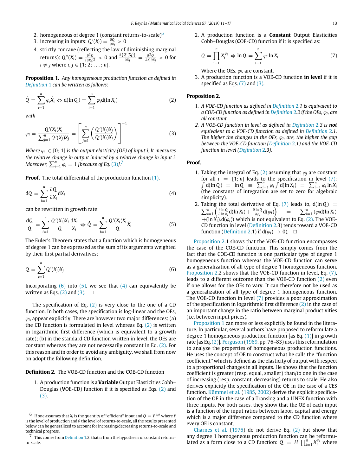- 2. homogeneous of degree 1 (constant returns-to-scale) $<sup>6</sup>$ </sup>
- 3. increasing in inputs:  $Q'(X_i) = \frac{\partial Q}{\partial X_i} > 0$
- 4. strictly concave (reflecting the law of diminishing marginal returns):  $Q''(X_i) = \frac{\partial^2 Q}{\partial X_i}$  $\frac{\partial^2 Q}{(\partial x_i)^2}$  < 0 and  $\frac{\partial (Q'(x_i))}{\partial x_j}$  $\frac{\partial^2 X_i}{\partial x_j} = \frac{\partial^2 Q_i}{\partial x_i \partial x_j}$  $\frac{\partial^2 Q}{\partial X_i \partial X_j}$  > 0 for  $i \neq j$  where  $i, j \in [1; 2; \ldots; n]$ .

**Proposition 1.** *Any homogeneous production function as defined in Definition* 1 *can be written as follows:*

$$
\dot{Q} = \sum_{i=1}^{n} \varphi_i \dot{X}_i \Leftrightarrow d(\ln Q) = \sum_{i=1}^{n} \varphi_i d(\ln X_i)
$$
\n(2)

*with*

$$
\varphi_i = \frac{Q'(X_i)X_i}{\sum_{j=1}^n Q'(X_j)X_j} = \left[\sum_{j=1}^n \left(\frac{Q'(X_j)X_j}{Q'(X_i)X_i}\right)\right]^{-1}
$$
(3)

*Where*  $\varphi_i \in [0; 1]$  *is the output elasticity (OE) of input i. It measures the relative change in output induced by a relative change in input i. Moreover,*  $\sum_{i=1}^{n} \varphi_i = 1$  [because of Eq. (3)].<sup>7</sup>

**Proof.** The total differential of the production function  $(1)$ ,

$$
dQ = \sum_{i=1}^{n} \frac{\partial Q}{\partial X_i} dX_i
$$
 (4)

can be rewritten in growth rate:

$$
\frac{dQ}{Q} = \sum_{i=1}^{n} \frac{Q'(X_i)X_i}{Q} \frac{dX_i}{X_i} \Leftrightarrow \dot{Q} = \sum_{i=1}^{n} \frac{Q'(X_i)X_i}{Q} \dot{X}_i
$$
\n(5)

The Euler's Theorem states that a function which is homogeneous of degree 1 can be expressed as the sum of its arguments weighted by their first partial derivatives:

$$
Q = \sum_{j=1}^{n} Q'(X_j) X_j \tag{6}
$$

Incorporating  $(6)$  into  $(5)$ , we see that  $(4)$  can equivalently be written as Eqs.  $(2)$  and  $(3)$ .  $\square$ 

The specification of Eq.  $(2)$  is very close to the one of a CD function. In both cases, the specification is log-linear and the OEs,  $\varphi_{i}$ , appear explicitly. There are however two major differences: (a) the CD function is formulated in level whereas Eq.  $(2)$  is written in logarithmic first difference (which is equivalent to a growth rate); (b) in the standard CD function written in level, the OEs are constant whereas they are not necessarily constant in Eq. (2). For this reason and in order to avoid any ambiguity, we shall from now on adopt the following definition.

#### **Definition 2.** The VOE-CD function and the COE-CD function

1. A production function is a**Variable** Output Elasticities Cobb– Douglas (**V**OE-CD) function if it is specified as Eqs. (2) and (3).

2. A production function is a **Constant** Output Elasticities Cobb–Douglas (**C**OE-CD) function if it is specified as:

$$
Q = \prod_{i=1}^{n} X_i^{\varphi_i} \Leftrightarrow \ln Q = \sum_{i=1}^{n} \varphi_i \ln X_i \tag{7}
$$

Where the OEs,  $\varphi_i$ , are constant.

3. A production function is a VOE-CD function **in level** if it is specified as Eqs.  $(7)$  and  $(3)$ .

#### **Proposition 2.**

- *1. A VOE-CD function as defined in Definition* 2*.1 is equivalent to a* COE-CD function as defined in Definition 2.2 if the OEs,  $\varphi_i$ , are *all constant.*
- *2. A VOE-CD function in level as defined in Definition* 2*.3 is not equivalent to a VOE-CD function as defined in Definition* 2*.1. The higher the changes in the OEs,*  $\varphi_i$ *, are, the higher the gap between the VOE-CD function (Definition* 2*.1) and the VOE-CD function in level (Definition* 2*.3).*

#### **Proof.**

- 1. Taking the integral of Eq. (2) assuming that  $\varphi_j$  are constant for all  $i = [1; n]$  leads to the specification in level (7):  $\int d(\ln Q) = \ln Q = \sum_{i=1}^{n} \varphi_i \int d(\ln X_i) = \sum_{i=1}^{n} \varphi_i \ln X_i$ (the constants of integration are set to zero for algebraic simplicity).
- 2. Taking the total derivative of Eq.  $(7)$  leads to,  $d(ln Q)$  =  $\sum_{i=1}^{n} \left( \frac{\partial \ln Q}{\partial \ln X_i} d(\ln X_i) + \frac{\partial \ln Q}{\partial \varphi_i} d(\varphi_i) \right) = \sum_{i=1}^{n} (\varphi_i d(\ln X_i))$  $+(ln X_i).d(\varphi_i)$ ) which is not equivalent to Eq. (2). The VOE-CD function in level (Definition 2.3) tends toward a VOE-CD function (Definition 2.1) if  $d(\varphi_i) \to 0$ ).  $\Box$

Proposition 2.1 shows that the VOE-CD function encompasses the case of the COE-CD function. This simply comes from the fact that the COE-CD function is one particular type of degree 1 homogeneous function whereas the VOE-CD function can serve as a generalization of all type of degree 1 homogeneous function. Proposition 2.2 shows that the VOE-CD function in level, Eq. (7), leads to a different outcome than the VOE-CD function (2) even if one allows for the OEs to vary. It can therefore not be used as a generalization of all type of degree 1 homogeneous function. The VOE-CD function in level (7) provides a poor approximation of the specification in logarithmic first difference  $(2)$  in the case of an important change in the ratio between marginal productivities (i.e. between input prices).

Proposition 1 can more or less explicitly be found in the literature. In particular, several authors have proposed to reformulate a degree 1 homogeneous production function [as Eq. (1)] in growth rate [as Eq.(2)]. Ferguson (1969, pp. 76–83) uses this reformulation to analyze the properties of homogeneous production functions. He uses the concept of OE to construct what he calls the ''function coefficient'' which is defined as the elasticity of output with respect to a proportional changes in all inputs. He shows that the function coefficient is greater (resp. equal, smaller) than/to one in the case of increasing (resp. constant, decreasing) returns to scale. He also derives explicitly the specification of the OE in the case of a CES function. Kümmel et al. (1985, 2002) derive the explicit specification of the OE in the case of a Translog and a LINEX function with three inputs. For both cases, they show that the OE of each input is a function of the input ratios between labor, capital and energy which is a major difference compared to the CD function where every OE is constant.

Charnes et al. (1976) do not derive Eq. (2) but show that any degree 1 homogeneous production function can be reformulated as a form close to a CD function:  $Q = H \cdot \prod_{i=1}^{n} X_i^{\varphi_i}$  where

 $^6$  If one assumes that  $X_i$  is the quantity of "efficient" input and  $Q = Y^{1/\theta}$  where *Y* is the level of production and  $\theta$  the level of returns-to-scale, all the results presented below can be generalized to account for increasing/decreasing returns-to-scale and technical progress.

<sup>7</sup> This comes from Definition 1.2, that is from the hypothesis of constant returnsto-scale.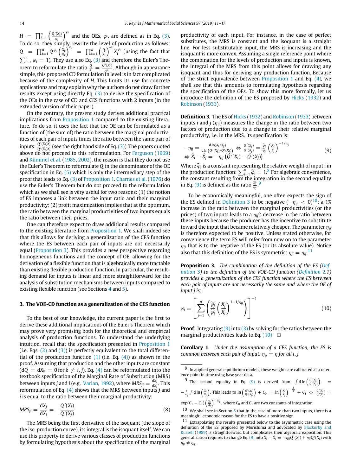$H = \prod_{i=1}^{n} \left( \frac{Q'(X_i)}{\varphi_i} \right)^{\varphi_i}$  and the OEs,  $\varphi_i$ , are defined as in Eq. (3). To do so, they simply rewrite the level of production as follows:  $Q = \prod_{i=1}^n Q^{\varphi_i} \left( \frac{x_i}{x_i} \right)^{\varphi_i} = \prod_{i=1}^n \left( \frac{Q}{x_i} \right)^{\varphi_i} X_i^{\varphi_i}$  (using the fact that  $\sum_{i=1}^{n} \varphi_i = 1$ ). They use also Eq. (3) and therefore the Euler's Theorem to reformulate the ratio  $\frac{Q}{X_i} = \frac{Q'(X_i)}{\varphi_i}$ . Although in appearance simple, this proposed CD formulation in level is in fact complicated because of the complexity of *H*. This limits its use for concrete applications and may explain why the authors do not draw further results except using directly Eq. (3) to derive the specification of the OEs in the case of CD and CES functions with 2 inputs (in the extended version of their paper).

On the contrary, the present study derives additional practical implications from Proposition 1 compared to the existing literature. To do so, it uses the fact that the OE can be formulated as a function of (the sum of) the ratio between the marginal productivities of each pair of inputs times the ratio between the same pair of inputs:  $\frac{Q'(X_j)X_j}{Q'(X_i)X_i}$  (see the right hand side of Eq. (3)). The papers quoted above do not proceed to this reformulation. For Ferguson (1969) and Kümmel et al. (1985, 2002), the reason is that they do not use the Euler's Theorem to reformulate *Q* in the denominator of the OE specification in Eq. (5) which is only the intermediary step of the proof that leads to Eq. (3) of Proposition 1. Charnes et al. (1976) do use the Euler's Theorem but do not proceed to the reformulation which as we shall see is very useful for two reasons: (1) the notion of ES imposes a link between the input ratio and their marginal productivity; (2) profit maximization implies that at the optimum, the ratio between the marginal productivities of two inputs equals the ratio between their prices.

One can therefore expect to draw additional results compared to the existing literature from Proposition 1. We shall indeed see that this allows for deriving a generalization of the CES function where the ES between each pair of inputs are not necessarily equal (Proposition 3). This provides a new perspective regarding homogeneous functions and the concept of OE, allowing for the derivation of a flexible function that is algebraically more tractable than existing flexible production function. In particular, the resulting demand for inputs is linear and more straightforward for the analysis of substitution mechanisms between inputs compared to existing flexible function (see Sections 4 and 5).

#### **3. The VOE-CD function as a generalization of the CES function**

To the best of our knowledge, the current paper is the first to derive these additional implications of the Euler's Theorem which may prove very promising both for the theoretical and empirical analysis of production functions. To understand the underlying intuition, recall that the specification presented in Proposition 1 (i.e. Eqs.  $(2)$  and  $(3)$ ) is perfectly equivalent to the total differential of the production function  $(1)$  (i.e. Eq.  $(4)$ ) as shown in the proof. Assuming that production and the other inputs are constant  $(dQ = dX_k = 0$  for  $k \neq i, j$ ), Eq. (4) can be reformulated into the textbook specification of the Marginal Rate of Substitution (MRS) between inputs *j* and *i* (e.g. Varian, 1992), where MRS<sub>ji</sub> =  $\frac{dX_j}{dX_j}$  $\frac{dy}{dx_i}$ . This reformulation of Eq. (4) shows that the MRS between inputs *j* and *i* is equal to the ratio between their marginal productivity:

$$
MRS_{ji} = \frac{dX_j}{dX_i} = -\frac{Q'(X_i)}{Q'(X_j)}
$$
\n(8)

The MRS being the first derivative of the isoquant (the slope of the iso-production curve), its integral is the isoquant itself. We can use this property to derive various classes of production functions by formulating hypothesis about the specification of the marginal

productivity of each input. For instance, in the case of perfect substitutes, the MRS is constant and the isoquant is a straight line. For less substitutable input, the MRS is increasing and the isoquant is more convex. Assuming a single reference point where the combination for the levels of production and inputs is known, the integral of the MRS from this point allows for drawing any isoquant and thus for deriving any production function. Because of the strict equivalence between Proposition 1 and Eq. (4), we shall see that this amounts to formulating hypothesis regarding the specification of the OEs. To show this more formally, let us introduce the definition of the ES proposed by Hicks (1932) and Robinson (1933).

**Definition 3.** The ES of Hicks (1932) and Robinson (1933) between inputs *i* and *j*  $(\eta_{ii})$  measures the change in the ratio between two factors of production due to a change in their relative marginal productivity, i.e. in the MRS. Its specification is:

$$
-\eta_{ij} = \frac{\mathrm{d}\ln(X_i/X_j)}{\mathrm{d}\ln(Q'(X_i)/Q'(X_j))} \Leftrightarrow \frac{Q'(X_i)}{Q'(X_j)} = \frac{\widetilde{\varphi}_i}{\widetilde{\varphi}_j} \left(\frac{X_i}{X_j}\right)^{-1/\eta_{ij}} \n\Leftrightarrow \dot{X}_i - \dot{X}_j = -\eta_{ij} \left(Q'(X_i) - Q'(X_j)\right)
$$
\n(9)

Where  $\widetilde{\varphi}_i$  is a constant representing the relative weight of input *i* in the production function:  $\sum_{i=1}^n \widetilde{\varphi}_i = 1.8$  For algebraic convenience, the constant resulting from the integration in the second equa Where  $\widetilde{\varphi}_i$  is a constant representing the relative weight of input *i* in the constant resulting from the integration in the second equality in Eq. (9) is defined as the ratio  $\frac{\widetilde{\varphi}_i}{\widetilde{\varphi}_j}$ .<sup>9</sup>

To be economically meaningful, one often expects the sign of the ES defined in Definition 3 to be negative  $(-\eta_{ii} < 0)^{10}$ : a 1% increase in the ratio between the marginal productivities (or the prices) of two inputs leads to a  $\eta_{ij}$ % decrease in the ratio between these inputs because the producer has the incentive to substitute toward the input that became relatively cheaper. The parameter  $\eta_{ii}$ is therefore expected to be positive. Unless stated otherwise, for convenience the term ES will refer from now on to the parameter  $\eta_{ij}$  that is to the negative of the ES (or its absolute value). Notice also that this definition of the ES is symmetric:  $\eta_{ji} = \eta_{ij}$ .<sup>11</sup>

**Proposition 3.** *The combination of the definition of the ES (Definition* 3*) to the definition of the VOE-CD function (Definition* 2*.1) provides a generalization of the CES function where the ES between each pair of inputs are not necessarily the same and where the OE of input j is:*

$$
\varphi_i = \left[ \sum_{j=1}^n \left( \frac{\widetilde{\varphi}_j}{\widetilde{\varphi}_i} \left( \frac{X_j}{X_i} \right)^{1-1/\eta_{ij}} \right) \right]^{-1} \tag{10}
$$

**Proof.** Integrating (9) into (3) by solving for the ratios between the marginal productivities leads to Eq.  $(10)$   $\Box$ 

**Corollary 1.** *Under the assumption of a CES function, the ES is common between each pair of input:*  $\eta_{ij} = \eta$  *for all i, j.* 

9 The second equality in Eq. (9) is derived from:  $\int d\ln\left(\frac{Q'(X_i)}{Q'(X_j)}\right)$  =

 $-\frac{1}{n_{ij}}\int d\ln\left(\frac{x_i}{x_j}\right)$ . This leads to  $\ln\left(\frac{Q'(X_i)}{Q'(X_j)}\right) + C_0 = \ln\left(\frac{x_i}{x_j}\right)^{-\frac{1}{n_{ij}}} + C_1 \Leftrightarrow \frac{Q'(X_i)}{Q'(X_j)} =$ 

 $exp(C_1 - C_0) \left(\frac{X_i}{X_j}\right)^{-\frac{1}{\eta_{ij}}}$ , where  $C_0$  and  $C_1$  are two constants of integration.

 $8$  In applied general equilibrium models, these weights are calibrated at a reference point in time using base year data.

<sup>10</sup> We shall see in Section 5 that in the case of more than two inputs, there is a meaningful economic reason for the ES to have a positive sign.

<sup>11</sup> Extrapolating the results presented below to the asymmetric case using the definition of the ES proposed by Morishima and advocated by Blackorby and Russell (1989) is straightforward but complicates their algebraic exposition. This generalization requires to change Eq. (9) into  $\dot{X}_i - \dot{X}_j = -\eta_{ij}\dot{Q}'(X_i) + \eta_{ji}\dot{Q}'(X_j)$  with  $\eta_{ji} \neq \eta_{ij}.$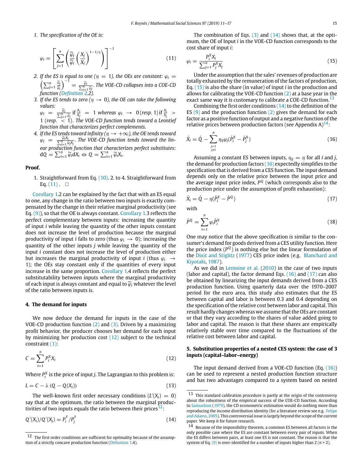*1. The specification of the OE is:*

$$
\varphi_i = \left[ \sum_{j=1}^n \left( \frac{\widetilde{\varphi}_j}{\widetilde{\varphi}_i} \left( \frac{X_j}{X_i} \right)^{1-1/\eta} \right) \right]^{-1} \tag{11}
$$

- *2. If the ES is equal to one (* $\eta = 1$ *), the OEs are constant:*  $\varphi_i =$  $\left(\sum_{j=1}^n \frac{\widetilde{\varphi}_j}{\widetilde{\varphi}_j}\right]$ ˜ϕ*i*  $\int_{0}^{-1} = \frac{\tilde{\varphi}_i}{\sum_{j=1}^{n} \tilde{\varphi}_j}$ . The VOE-CD collapses into a COE-CD *function (Definition* 2*.2).*
- *3. If the ES tends to zero* ( $\eta \rightarrow 0$ ), the OE can take the following *values:*
	- $\varphi_i = \frac{\tilde{\varphi}_i}{\tilde{X}_i \tilde{\varphi}_i}$  if  $\frac{X_i}{X} = 1$  whereas  $\varphi_i \to 0$  (*resp.* 1) if  $\frac{X_i}{X_j} > 1$  (resp. 2) The MOE CD function tonds toward a Lagartich 1 (*resp*. < 1) *. The VOE-CD function tends toward a Leontief function that characterizes perfect complements.*
- *4. If the ES tends toward infinity (* $\eta \rightarrow +\infty$ *), the OE tends toward*  $\varphi_i = \frac{\tilde{\varphi}_i X_i}{\sum_{j=1}^{n_i} \tilde{\varphi}_j X_j}$ . The VOE-CD function tends toward the lin*ear production function that characterizes perfect substitutes:*  $dQ = \sum_{i=1}^{n} \widetilde{\varphi}_i dX_i \Leftrightarrow Q = \sum_{i=1}^{n} \widetilde{\varphi}_i X_i.$

#### **Proof.**

1. Straightforward from Eq. (10). 2. to 4. Straightforward from Eq.  $(11)$ . □

Corollary 1.2 can be explained by the fact that with an ES equal to one, any change in the ratio between two inputs is exactly compensated by the change in their relative marginal productivity (see Eq. (9)), so that the OE is always constant. Corollary 1.3 reflects the perfect complementary between inputs: increasing the quantity of input *i* while leaving the quantity of the other inputs constant does not increase the level of production because the marginal productivity of input *i* falls to zero (thus  $\varphi_i \to 0$ ); increasing the quantity of the other inputs *j* while leaving the quantity of the input *i* constant does not increase the level of production either but increases the marginal productivity of input *i* (thus  $\varphi_i \rightarrow$ 1); the OEs stay constant only if the quantities of every input increase in the same proportion. Corollary 1.4 reflects the perfect substitutability between inputs where the marginal productivity of each input is always constant and equal to  $\widetilde{\varphi}_i$  whatever the level of the ratio between inputs is.

#### **4. The demand for inputs**

We now deduce the demand for inputs in the case of the VOE-CD production function (2) and (3). Driven by a maximizing profit behavior, the producer chooses her demand for each input by minimizing her production cost (12) subject to the technical constraint (1):

$$
C = \sum_{i=1}^{n} P_i^X X_i \tag{12}
$$

Where  $P_i^X$  is the price of input *j*. The Lagrangian to this problem is:

$$
L = C - \lambda (Q - Q(X_i))
$$
\n(13)

The well-known first order necessary conditions  $(L'(X_i) = 0)$ say that at the optimum, the ratio between the marginal productivities of two inputs equals the ratio between their prices  $12$ :

$$
Q'(X_i)/Q'(X_j) = P_i^X/P_j^X
$$
\n(14)

The combination of Eqs.  $(3)$  and  $(14)$  shows that, at the optimum, the OE of Input *i* in the VOE-CD function corresponds to the cost share of input *i*:

$$
\varphi_i = \frac{P_i^X X_i}{\sum_{j=1}^n P_j^X X_j} \tag{15}
$$

Under the assumption that the sales' revenues of production are totally exhausted by the remuneration of the factors of production, Eq. (15) is also the share (in value) of input *i* in the production and allows for calibrating the VOE-CD function  $(2)$  at a base year in the exact same way it is customary to calibrate a COE-CD function.<sup>13</sup>

Combining the first order conditions  $(14)$  to the definition of the ES  $(9)$  and the production function  $(2)$  gives the demand for each factor as a positive function of output and a negative function of the relative prices between production factors (see Appendix A) $^{14}$ :

$$
\dot{X}_i = \dot{Q} - \sum_{\substack{j=1 \ j \neq i}}^n \eta_{ij} \varphi_j (\dot{P}_i^X - \dot{P}_j^X)
$$
\n(16)

Assuming a constant ES between inputs,  $\eta_{ij} = \eta$  for all *i* and *j*, the demand for production factors  $(16)$  expectedly simplifies to the specification that is derived from a CES function. The input demand depends only on the relative price between the input price and the average input price index,  $P^{\mathbb{Q}}$  (which corresponds also to the production price under the assumption of profit exhaustion):

$$
\dot{X}_i = \dot{Q} - \eta (\dot{P}_i^X - \dot{P}^Q) \tag{17}
$$

with

$$
\dot{P}^{\mathcal{Q}} = \sum_{i=1}^{n} \varphi_i \dot{P}_i^X \tag{18}
$$

One may notice that the above specification is similar to the consumer's demand for goods derived from a CES utility function. Here the price index  $(P^Q)$  is nothing else but the linear formulation of the Dixit and Stiglitz (1977) CES price index (e.g. Blanchard and Kiyotaki, 1987).

As we did in Lemoine et al. (2010) in the case of two inputs (labor and capital), the factor demand Eqs.  $(16)$  and  $(17)$  can also be obtained by linearizing the input demands derived from a CES production function. Using quarterly data over the 1970–2007 period for the euro area, this study also estimates that the ES between capital and labor is between 0.3 and 0.4 depending on the specification of the relative cost between labor and capital. This result hardly changes whereas we assume that the OEs are constant or that they vary according to the shares of value added going to labor and capital. The reason is that these shares are empirically relatively stable over time compared to the fluctuations of the relative cost between labor and capital.

#### **5. Substitution properties of a nested CES system: the case of 3 inputs (capital–labor–energy)**

The input demand derived from a VOE-CD function (Eq. (16)) can be used to represent a nested production function structure and has two advantages compared to a system based on nested

<sup>12</sup> The first order conditions are sufficient for optimality because of the assumption of a strictly concave production function (Definition 1.4).

<sup>13</sup> This standard calibration procedure is partly at the origin of the controversy about the robustness of the empirical success of the COE-CD function. According to Samuelson (1979), the CD econometric estimation would do nothing more than reproducing the income distribution identity (for a literature review see e.g. Felipe and Adams, 2005). This controversial issue is largely beyond the scope of the current paper. We keep it for future research.

<sup>14</sup> Because of the impossibility theorem, a common ES between all factors is the only possible case where the ES are constant between every pair of inputs. When the ES differs between pairs, at least one ES is not constant. The reason is that the system of Eq. (9) is over-identified for a number of inputs higher than 2 (*n* > 2).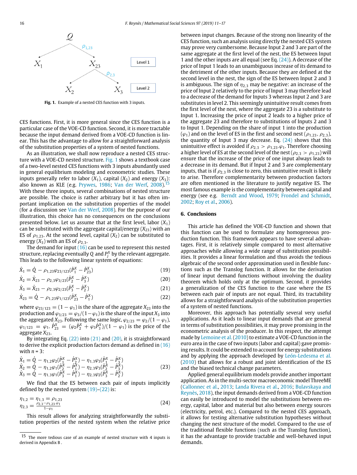

**Fig. 1.** Example of a nested CES function with 3 inputs.

CES functions. First, it is more general since the CES function is a particular case of the VOE-CD function. Second, it is more tractable because the input demand derived from a VOE-CD function is linear. This has the advantage to allow for a straightforward analysis of the substitution properties of a system of nested functions.

As an illustration, we shall now reproduce a nested CES structure with a VOE-CD nested structure. Fig. 1 shows a textbook case of a two-level nested CES functions with 3 inputs abundantly used in general equilibrium modeling and econometric studies. These inputs generally refer to labor  $(X_1)$ , capital  $(X_2)$  and energy  $(X_3)$ : also known as KLE (e.g. Prywes, 1986; Van der Werf, 2008).<sup>15</sup> With these three inputs, several combinations of nested structure are possible. The choice is rather arbitrary but it has often important implication on the substitution properties of the model (for a discussion see Van der Werf, 2008). For the purpose of our illustration, this choice has no consequences on the conclusions presented below. Let us assume that at the first level, labor  $(X_1)$ can be substituted with the aggregate capital/energy ( $X_{23}$ ) with an ES of  $\rho_{1,23}$ . At the second level, capital  $(X_2)$  can be substituted to energy  $(X_3)$  with an ES of  $\rho_{2,3}$ .

The demand for input  $(16)$  can be used to represent this nested structure, replacing eventually Q and  $P^X_j$  by the relevant aggregate. This leads to the following linear system of equations:

$$
\dot{X}_1 = \dot{Q} - \rho_{1,23} \varphi_{23/123} (\dot{P}_1^X - \dot{P}_{23}^X) \tag{19}
$$

 $\dot{X}_2 = \dot{X}_{23} - \rho_{2,3}\varphi_{3/23}(\dot{P}_2^X - \dot{P}_3^X)$ ) (20)

 $\dot{X}_3 = \dot{X}_{23} - \rho_{2,3}\varphi_{2/23}(\dot{P}_3^X - \dot{P}_2^X)$  $(21)$ 

$$
\dot{X}_{23} = \dot{Q} - \rho_{1,23} \varphi_{1/123} (\dot{P}_{23}^X - \dot{P}_1^X) \tag{22}
$$

where  $\varphi_{23/123} = (1 - \varphi_1)$  is the share of the aggregate  $X_{23}$  into the production and  $\varphi_{3/23} = \varphi_3/(1-\varphi_1)$  is the share of the input  $X_3$  into the aggregated  $X_{23}$ . Following the same logic,  $\varphi_{2/23} = \varphi_2/(1-\varphi_1)$ ,  $\varphi_{1/123} = \varphi_1$ .  $\dot{P}_{23}^X = (\varphi_2 \dot{P}_2^X + \varphi_3 \dot{P}_3^X)/(1 - \varphi_1)$  is the price of the aggregate  $X_{23}$ .

By integrating Eq.  $(22)$  into  $(21)$  and  $(20)$ , it is straightforward to derive the explicit production factors demand as defined in (16) with  $n = 3$ :

$$
\dot{\mathbf{X}}_1 = \dot{\mathbf{Q}} - \eta_{1,2}\varphi_2(\dot{P}_1^X - \dot{P}_2^X) - \eta_{1,3}\varphi_3(\dot{P}_1^X - \dot{P}_2^X) \n\dot{\mathbf{X}}_2 = \dot{\mathbf{Q}} - \eta_{1,2}\varphi_1(\dot{P}_2^X - \dot{P}_1^X) - \eta_{2,3}\varphi_3(\dot{P}_2^X - \dot{P}_3^X) \n\dot{\mathbf{X}}_3 = \dot{\mathbf{Q}} - \eta_{1,3}\varphi_1(\dot{P}_3^X - \dot{P}_1^X) - \eta_{2,3}\varphi_2(\dot{P}_3^X - \dot{P}_2^X)
$$
\n(23)

We find that the ES between each pair of inputs implicitly defined by the nested system  $(19)-(22)$  is:

$$
\eta_{1,2} = \eta_{1,3} = \rho_{1,23}
$$
  
\n
$$
\eta_{2,3} = \frac{\rho_{2,3} - \rho_{1,23} \cdot \varphi_1}{1 - \varphi_1}
$$
\n(24)

This result allows for analyzing straightforwardly the substitution properties of the nested system when the relative price between input changes. Because of the strong non linearity of the CES function, such an analysis using directly the nested CES system may prove very cumbersome. Because Input 2 and 3 are part of the same aggregate at the first level of the nest, the ES between Input 1 and the other inputs are all equal (see Eq.  $(24)$ ). A decrease of the price of Input 1 leads to an unambiguous increase of its demand to the detriment of the other inputs. Because they are defined at the second level in the nest, the sign of the ES between Input 2 and 3 is ambiguous. The sign of  $\eta_{2,3}$  may be negative: an increase of the price of Input 2 relatively to the price of Input 3 may therefore lead to a decrease of the demand for Inputs 3 whereas Input 2 and 3 are substitutes in level 2. This seemingly unintuitive result comes from the first level of the nest, where the aggregate 23 is a substitute to Input 1. Increasing the price of input 2 leads to a higher price of the aggregate 23 and therefore to substitutions of Inputs 2 and 3 to Input 1. Depending on the share of input 1 into the production  $(\varphi_1)$  and on the level of ES in the first and second nest  $(\rho_{1,23}, \rho_{2,3})$ , the quantity of Input 3 may decrease. Eq.  $(24)$  shows that this unintuitive effect is avoided if  $\rho_{2,3} > \rho_{1,23} \cdot \varphi_1$ . Therefore choosing a higher level of ES at the second level of the nest ( $\rho_{2,3} > \rho_{1,23}$ ) will ensure that the increase of the price of one input always leads to a decrease in its demand. But if Input 2 and 3 are complementary inputs, that is if  $\rho_{2,3}$  is close to zero, this unintuitive result is likely to arise. Therefore complementarity between production factors are often mentioned in the literature to justify negative ES. The most famous example is the complementarity between capital and energy (see e.g. Berndt and Wood, 1979; Frondel and Schmidt, 2002; Roy et al., 2006).

#### **6. Conclusions**

This article has defined the VOE-CD function and shown that this function can be used to formulate any homogeneous production function. This framework appears to have several advantages. First, it is relatively simple compared to most alternative approaches while allowing a wide range of substitution possibilities. It provides a linear formulation and thus avoids the tedious algebraic of the second order approximation used in flexible functions such as the Translog function. It allows for the derivation of linear input demand functions without involving the duality theorem which holds only at the optimum. Second, it provides a generalization of the CES function to the case where the ES between each pair of inputs are not equal. Third, its tractability allows for a straightforward analysis of the substitution properties of a system of nested functions.

Moreover, this approach has potentially several very useful applications. As it leads to linear input demands that are general in terms of substitution possibilities, it may prove promising in the econometric analysis of the producer. In this respect, the attempt made by Lemoine et al. (2010) to estimate a VOE-CD function in the euro area in the case of two inputs (labor and capital) gave promising results. It could be extended to account for energy substitutions and by applying the approach developed by León-Ledesma et al. (2010) that allows for a robust and joint identification of the ES and the biased technical change parameters.

Applied general equilibrium models provide another important application. As in the multi-sector macroeconomic model ThreeME (Callonnec et al., 2013; Landa Rivera et al., 2016; Bulavskaya and Reynès, 2018), the input demands derived from a VOE-CD function can easily be introduced to model the substitutions between energy, capital, labor and material but also between energy sources (electricity, petrol, etc.). Compared to the nested CES approach, it allows for testing alternative substitution hypotheses without changing the nest structure of the model. Compared to the use of the traditional flexible functions (such as the Translog function), it has the advantage to provide tractable and well-behaved input demands.

<sup>15</sup> The more tedious case of an example of nested structure with 4 inputs is derived in Appendix B .